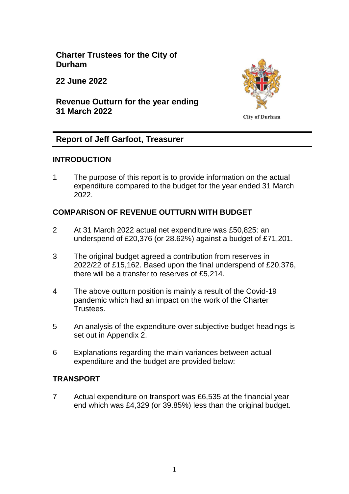**Charter Trustees for the City of Durham**

**22 June 2022**

**Revenue Outturn for the year ending 31 March 2022**



**City of Durham** 

## **Report of Jeff Garfoot, Treasurer**

## **INTRODUCTION**

1 The purpose of this report is to provide information on the actual expenditure compared to the budget for the year ended 31 March 2022.

## **COMPARISON OF REVENUE OUTTURN WITH BUDGET**

- 2 At 31 March 2022 actual net expenditure was £50,825: an underspend of £20,376 (or 28.62%) against a budget of £71,201.
- 3 The original budget agreed a contribution from reserves in 2022/22 of £15,162. Based upon the final underspend of £20,376, there will be a transfer to reserves of £5,214.
- 4 The above outturn position is mainly a result of the Covid-19 pandemic which had an impact on the work of the Charter Trustees.
- 5 An analysis of the expenditure over subjective budget headings is set out in Appendix 2.
- 6 Explanations regarding the main variances between actual expenditure and the budget are provided below:

## **TRANSPORT**

7 Actual expenditure on transport was £6,535 at the financial year end which was £4,329 (or 39.85%) less than the original budget.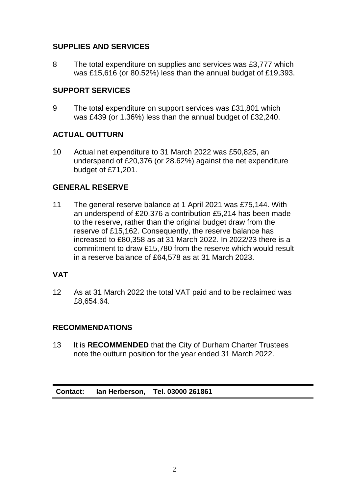# **SUPPLIES AND SERVICES**

8 The total expenditure on supplies and services was £3,777 which was £15,616 (or 80.52%) less than the annual budget of £19,393.

## **SUPPORT SERVICES**

9 The total expenditure on support services was £31,801 which was £439 (or 1.36%) less than the annual budget of £32,240.

## **ACTUAL OUTTURN**

10 Actual net expenditure to 31 March 2022 was £50,825, an underspend of £20,376 (or 28.62%) against the net expenditure budget of £71,201.

## **GENERAL RESERVE**

11 The general reserve balance at 1 April 2021 was £75,144. With an underspend of £20,376 a contribution £5,214 has been made to the reserve, rather than the original budget draw from the reserve of £15,162. Consequently, the reserve balance has increased to £80,358 as at 31 March 2022. In 2022/23 there is a commitment to draw £15,780 from the reserve which would result in a reserve balance of £64,578 as at 31 March 2023.

## **VAT**

12 As at 31 March 2022 the total VAT paid and to be reclaimed was £8,654.64.

## **RECOMMENDATIONS**

13 It is **RECOMMENDED** that the City of Durham Charter Trustees note the outturn position for the year ended 31 March 2022.

**Contact: Ian Herberson, Tel. 03000 261861**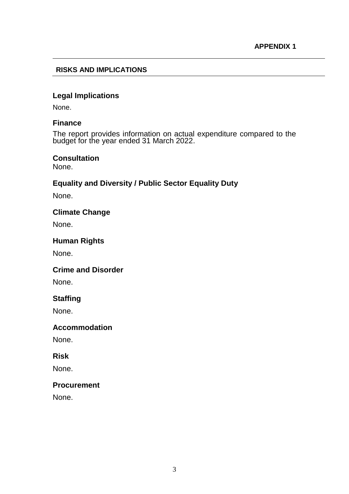#### **RISKS AND IMPLICATIONS**

## **Legal Implications**

None.

#### **Finance**

The report provides information on actual expenditure compared to the budget for the year ended 31 March 2022.

#### **Consultation**

None.

## **Equality and Diversity / Public Sector Equality Duty**

None.

## **Climate Change**

None.

### **Human Rights**

None.

#### **Crime and Disorder**

None.

## **Staffing**

None.

#### **Accommodation**

None.

#### **Risk**

None.

#### **Procurement**

None.